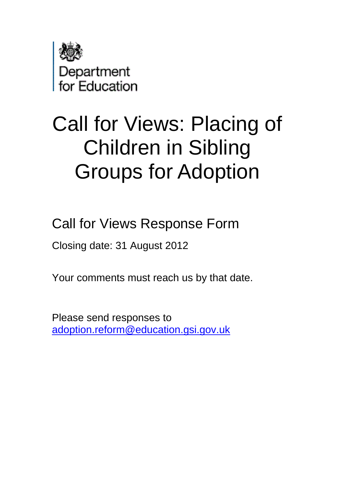

# Call for Views: Placing of Children in Sibling Groups for Adoption

Call for Views Response Form

Closing date: 31 August 2012

Your comments must reach us by that date.

Please send responses to [adoption.reform@education.gsi.gov.uk](mailto:adoption.reform@education.gsi.gov.uk)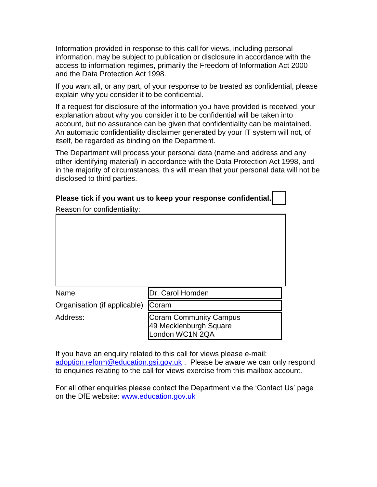Information provided in response to this call for views, including personal information, may be subject to publication or disclosure in accordance with the access to information regimes, primarily the Freedom of Information Act 2000 and the Data Protection Act 1998.

If you want all, or any part, of your response to be treated as confidential, please explain why you consider it to be confidential.

If a request for disclosure of the information you have provided is received, your explanation about why you consider it to be confidential will be taken into account, but no assurance can be given that confidentiality can be maintained. An automatic confidentiality disclaimer generated by your IT system will not, of itself, be regarded as binding on the Department.

The Department will process your personal data (name and address and any other identifying material) in accordance with the Data Protection Act 1998, and in the majority of circumstances, this will mean that your personal data will not be disclosed to third parties.

| Please tick if you want us to keep your response confidential. |                                                         |
|----------------------------------------------------------------|---------------------------------------------------------|
| Reason for confidentiality:                                    |                                                         |
|                                                                |                                                         |
|                                                                |                                                         |
|                                                                |                                                         |
|                                                                |                                                         |
|                                                                |                                                         |
|                                                                |                                                         |
|                                                                |                                                         |
| Name                                                           | Dr. Carol Homden                                        |
| Organisation (if applicable)                                   | Coram                                                   |
| Address:                                                       | <b>Coram Community Campus</b><br>49 Mecklenburgh Square |

If you have an enquiry related to this call for views please e-mail: [adoption.reform@education.gsi.gov.uk](mailto:adoption.reform@education.gsi.gov.uk) . Please be aware we can only respond to enquiries relating to the call for views exercise from this mailbox account.

London WC1N 2QA

For all other enquiries please contact the Department via the 'Contact Us' page on the DfE website: [www.education.gov.uk](http://www.education.gov.uk/)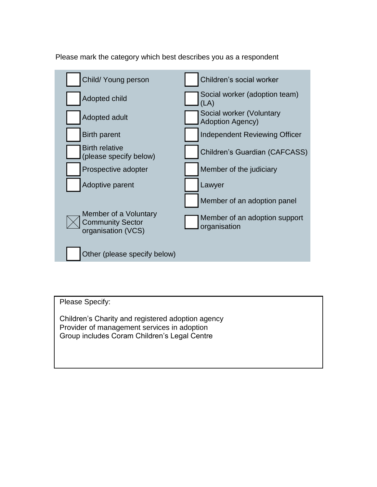



Please Specify:

Children's Charity and registered adoption agency Provider of management services in adoption Group includes Coram Children's Legal Centre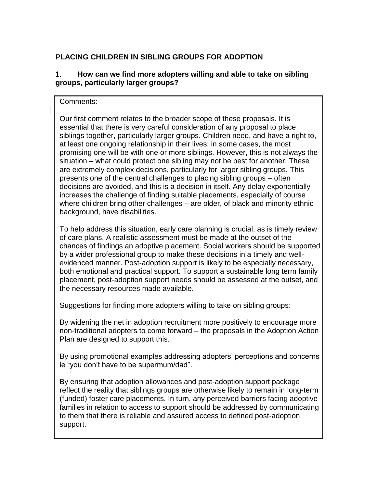# **PLACING CHILDREN IN SIBLING GROUPS FOR ADOPTION**

## 1. **How can we find more adopters willing and able to take on sibling groups, particularly larger groups?**

#### Comments:

Our first comment relates to the broader scope of these proposals. It is essential that there is very careful consideration of any proposal to place siblings together, particularly larger groups. Children need, and have a right to, at least one ongoing relationship in their lives; in some cases, the most promising one will be with one or more siblings. However, this is not always the situation – what could protect one sibling may not be best for another. These are extremely complex decisions, particularly for larger sibling groups. This presents one of the central challenges to placing sibling groups – often decisions are avoided, and this is a decision in itself. Any delay exponentially increases the challenge of finding suitable placements, especially of course where children bring other challenges – are older, of black and minority ethnic background, have disabilities.

To help address this situation, early care planning is crucial, as is timely review of care plans. A realistic assessment must be made at the outset of the chances of findings an adoptive placement. Social workers should be supported by a wider professional group to make these decisions in a timely and wellevidenced manner. Post-adoption support is likely to be especially necessary, both emotional and practical support. To support a sustainable long term family placement, post-adoption support needs should be assessed at the outset, and the necessary resources made available.

Suggestions for finding more adopters willing to take on sibling groups:

By widening the net in adoption recruitment more positively to encourage more non-traditional adopters to come forward – the proposals in the Adoption Action Plan are designed to support this.

By using promotional examples addressing adopters' perceptions and concerns ie "you don't have to be supermum/dad".

By ensuring that adoption allowances and post-adoption support package reflect the reality that siblings groups are otherwise likely to remain in long-term (funded) foster care placements. In turn, any perceived barriers facing adoptive families in relation to access to support should be addressed by communicating to them that there is reliable and assured access to defined post-adoption support.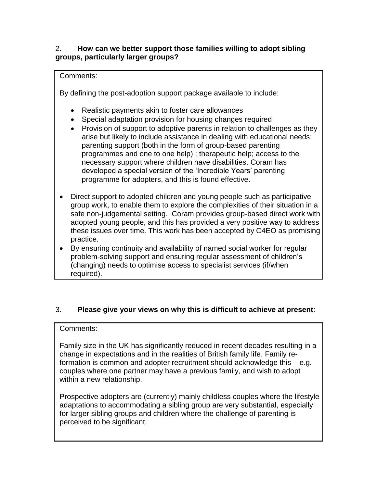#### 2. **How can we better support those families willing to adopt sibling groups, particularly larger groups?**

## Comments:

By defining the post-adoption support package available to include:

- Realistic payments akin to foster care allowances
- Special adaptation provision for housing changes required
- Provision of support to adoptive parents in relation to challenges as they arise but likely to include assistance in dealing with educational needs; parenting support (both in the form of group-based parenting programmes and one to one help) ; therapeutic help; access to the necessary support where children have disabilities. Coram has developed a special version of the 'Incredible Years' parenting programme for adopters, and this is found effective.
- Direct support to adopted children and young people such as participative group work, to enable them to explore the complexities of their situation in a safe non-judgemental setting. Coram provides group-based direct work with adopted young people, and this has provided a very positive way to address these issues over time. This work has been accepted by C4EO as promising practice.
- By ensuring continuity and availability of named social worker for regular problem-solving support and ensuring regular assessment of children's (changing) needs to optimise access to specialist services (if/when required).

# 3. **Please give your views on why this is difficult to achieve at present**:

### Comments:

Family size in the UK has significantly reduced in recent decades resulting in a change in expectations and in the realities of British family life. Family reformation is common and adopter recruitment should acknowledge this – e.g. couples where one partner may have a previous family, and wish to adopt within a new relationship.

Prospective adopters are (currently) mainly childless couples where the lifestyle adaptations to accommodating a sibling group are very substantial, especially for larger sibling groups and children where the challenge of parenting is perceived to be significant.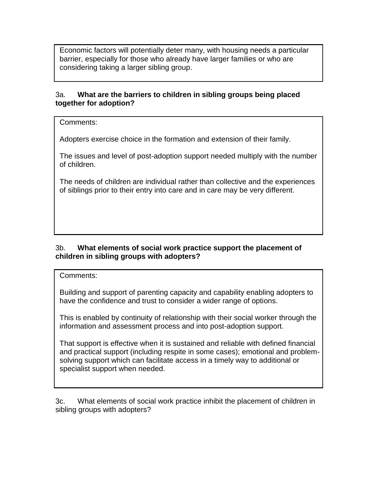Economic factors will potentially deter many, with housing needs a particular barrier, especially for those who already have larger families or who are considering taking a larger sibling group.

#### 3a. **What are the barriers to children in sibling groups being placed together for adoption?**

Comments:

Adopters exercise choice in the formation and extension of their family.

The issues and level of post-adoption support needed multiply with the number of children.

The needs of children are individual rather than collective and the experiences of siblings prior to their entry into care and in care may be very different.

### 3b. **What elements of social work practice support the placement of children in sibling groups with adopters?**

Comments:

Building and support of parenting capacity and capability enabling adopters to have the confidence and trust to consider a wider range of options.

This is enabled by continuity of relationship with their social worker through the information and assessment process and into post-adoption support.

That support is effective when it is sustained and reliable with defined financial and practical support (including respite in some cases); emotional and problemsolving support which can facilitate access in a timely way to additional or specialist support when needed.

3c. What elements of social work practice inhibit the placement of children in sibling groups with adopters?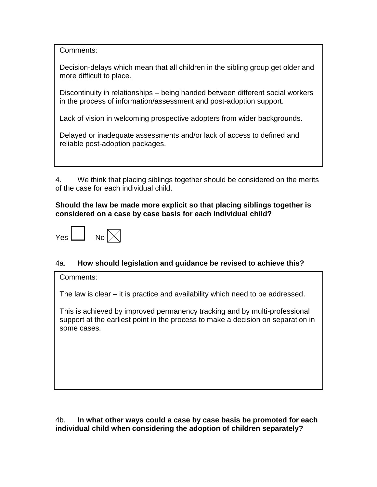Comments:

Decision-delays which mean that all children in the sibling group get older and more difficult to place.

Discontinuity in relationships – being handed between different social workers in the process of information/assessment and post-adoption support.

Lack of vision in welcoming prospective adopters from wider backgrounds.

Delayed or inadequate assessments and/or lack of access to defined and reliable post-adoption packages.

4. We think that placing siblings together should be considered on the merits of the case for each individual child.

#### **Should the law be made more explicit so that placing siblings together is considered on a case by case basis for each individual child?**



### 4a. **How should legislation and guidance be revised to achieve this?**

Comments:

The law is clear – it is practice and availability which need to be addressed.

This is achieved by improved permanency tracking and by multi-professional support at the earliest point in the process to make a decision on separation in some cases.

4b. **In what other ways could a case by case basis be promoted for each individual child when considering the adoption of children separately?**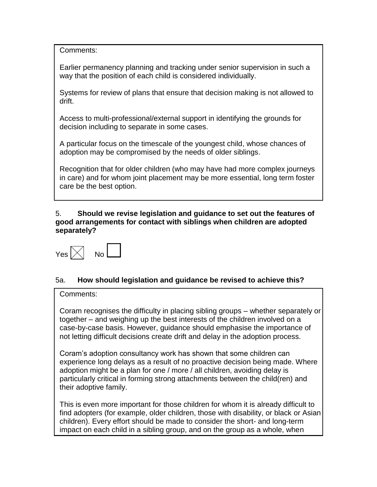Comments:

Earlier permanency planning and tracking under senior supervision in such a way that the position of each child is considered individually.

Systems for review of plans that ensure that decision making is not allowed to drift.

Access to multi-professional/external support in identifying the grounds for decision including to separate in some cases.

A particular focus on the timescale of the youngest child, whose chances of adoption may be compromised by the needs of older siblings.

Recognition that for older children (who may have had more complex journeys in care) and for whom joint placement may be more essential, long term foster care be the best option.

#### 5. **Should we revise legislation and guidance to set out the features of good arrangements for contact with siblings when children are adopted separately?**



# 5a. **How should legislation and guidance be revised to achieve this?**

#### Comments:

Coram recognises the difficulty in placing sibling groups – whether separately or together – and weighing up the best interests of the children involved on a case-by-case basis. However, guidance should emphasise the importance of not letting difficult decisions create drift and delay in the adoption process.

Coram's adoption consultancy work has shown that some children can experience long delays as a result of no proactive decision being made. Where adoption might be a plan for one / more / all children, avoiding delay is particularly critical in forming strong attachments between the child(ren) and their adoptive family.

This is even more important for those children for whom it is already difficult to find adopters (for example, older children, those with disability, or black or Asian children). Every effort should be made to consider the short- and long-term impact on each child in a sibling group, and on the group as a whole, when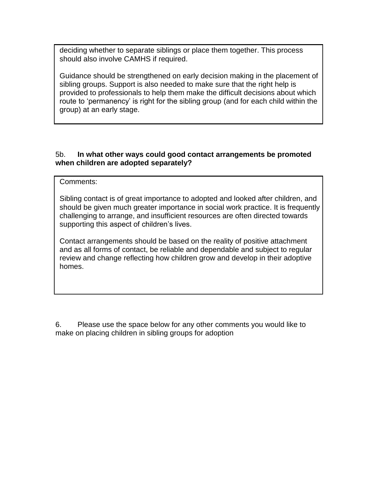deciding whether to separate siblings or place them together. This process should also involve CAMHS if required.

Guidance should be strengthened on early decision making in the placement of sibling groups. Support is also needed to make sure that the right help is provided to professionals to help them make the difficult decisions about which route to 'permanency' is right for the sibling group (and for each child within the group) at an early stage.

#### 5b. **In what other ways could good contact arrangements be promoted when children are adopted separately?**

Comments:

Sibling contact is of great importance to adopted and looked after children, and should be given much greater importance in social work practice. It is frequently challenging to arrange, and insufficient resources are often directed towards supporting this aspect of children's lives.

Contact arrangements should be based on the reality of positive attachment and as all forms of contact, be reliable and dependable and subject to regular review and change reflecting how children grow and develop in their adoptive homes.

6. Please use the space below for any other comments you would like to make on placing children in sibling groups for adoption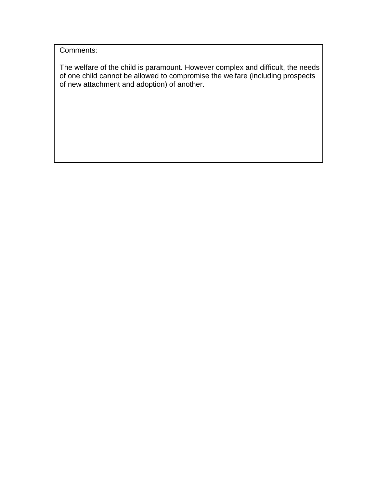Comments:

The welfare of the child is paramount. However complex and difficult, the needs of one child cannot be allowed to compromise the welfare (including prospects of new attachment and adoption) of another.